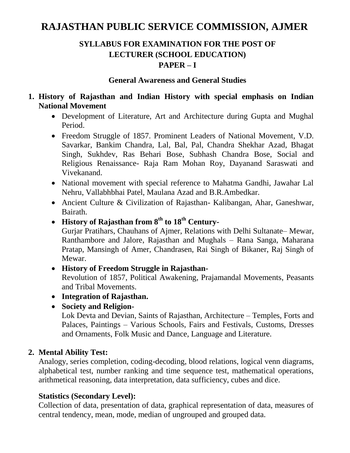# **RAJASTHAN PUBLIC SERVICE COMMISSION, AJMER**

# **SYLLABUS FOR EXAMINATION FOR THE POST OF LECTURER (SCHOOL EDUCATION) PAPER – I**

#### **General Awareness and General Studies**

#### **1. History of Rajasthan and Indian History with special emphasis on Indian National Movement**

- Development of Literature, Art and Architecture during Gupta and Mughal Period.
- Freedom Struggle of 1857. Prominent Leaders of National Movement, V.D. Savarkar, Bankim Chandra, Lal, Bal, Pal, Chandra Shekhar Azad, Bhagat Singh, Sukhdev, Ras Behari Bose, Subhash Chandra Bose, Social and Religious Renaissance- Raja Ram Mohan Roy, Dayanand Saraswati and Vivekanand.
- National movement with special reference to Mahatma Gandhi, Jawahar Lal Nehru, Vallabhbhai Patel, Maulana Azad and B.R.Ambedkar.
- Ancient Culture & Civilization of Rajasthan- Kalibangan, Ahar, Ganeshwar, Bairath.
- **History of Rajasthan from 8th to 18th Century-**

Gurjar Pratihars, Chauhans of Ajmer, Relations with Delhi Sultanate– Mewar, Ranthambore and Jalore, Rajasthan and Mughals – Rana Sanga, Maharana Pratap, Mansingh of Amer, Chandrasen, Rai Singh of Bikaner, Raj Singh of Mewar.

**History of Freedom Struggle in Rajasthan-**

Revolution of 1857, Political Awakening, Prajamandal Movements, Peasants and Tribal Movements.

- **Integration of Rajasthan.**
- **Society and Religion-**

Lok Devta and Devian, Saints of Rajasthan, Architecture – Temples, Forts and Palaces, Paintings – Various Schools, Fairs and Festivals, Customs, Dresses and Ornaments, Folk Music and Dance, Language and Literature.

#### **2. Mental Ability Test:**

Analogy, series completion, coding-decoding, blood relations, logical venn diagrams, alphabetical test, number ranking and time sequence test, mathematical operations, arithmetical reasoning, data interpretation, data sufficiency, cubes and dice.

# **Statistics (Secondary Level):**

Collection of data, presentation of data, graphical representation of data, measures of central tendency, mean, mode, median of ungrouped and grouped data.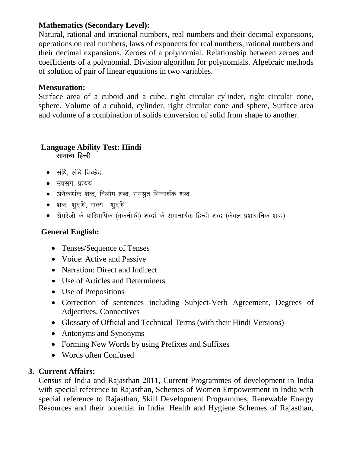# **Mathematics (Secondary Level):**

Natural, rational and irrational numbers, real numbers and their decimal expansions, operations on real numbers, laws of exponents for real numbers, rational numbers and their decimal expansions. Zeroes of a polynomial. Relationship between zeroes and coefficients of a polynomial. Division algorithm for polynomials. Algebraic methods of solution of pair of linear equations in two variables.

### **Mensuration:**

Surface area of a cuboid and a cube, right circular cylinder, right circular cone, sphere. Volume of a cuboid, cylinder, right circular cone and sphere, Surface area and volume of a combination of solids conversion of solid from shape to another.

#### **Language Ability Test: Hindi**  सामान्य हिन्दी

- $\bullet$  संधि, संधि विच्छेद
- $\bullet$  उपसर्ग प्रत्यय
- $\bullet$  अनेकार्थक शब्द, विलोम शब्द, समश्रुत भिन्नार्थक शब्द
- $\bullet$  शब्द-शदधि, वाक्य- शुदधि
- $\bullet$  ॲंगरेजी के पारिभाषिक (तकनीकी) शब्दों के समानार्थक हिन्दी शब्द (केवल प्रशासनिक शब्द)

# **General English:**

- Tenses/Sequence of Tenses
- Voice: Active and Passive
- Narration: Direct and Indirect
- Use of Articles and Determiners
- Use of Prepositions
- Correction of sentences including Subject-Verb Agreement, Degrees of Adjectives, Connectives
- Glossary of Official and Technical Terms (with their Hindi Versions)
- Antonyms and Synonyms
- Forming New Words by using Prefixes and Suffixes
- Words often Confused

# **3. Current Affairs:**

Census of India and Rajasthan 2011, Current Programmes of development in India with special reference to Rajasthan, Schemes of Women Empowerment in India with special reference to Rajasthan, Skill Development Programmes, Renewable Energy Resources and their potential in India. Health and Hygiene Schemes of Rajasthan,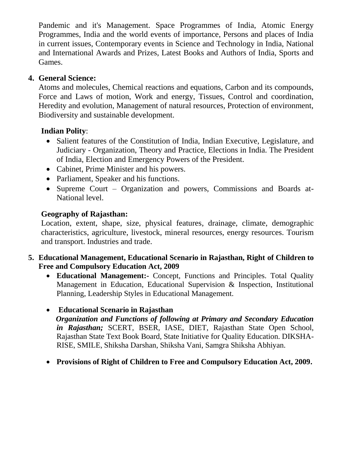Pandemic and it's Management. Space Programmes of India, Atomic Energy Programmes, India and the world events of importance, Persons and places of India in current issues, Contemporary events in Science and Technology in India, National and International Awards and Prizes, Latest Books and Authors of India, Sports and Games.

# **4. General Science:**

Atoms and molecules, Chemical reactions and equations, Carbon and its compounds, Force and Laws of motion, Work and energy, Tissues, Control and coordination, Heredity and evolution, Management of natural resources, Protection of environment, Biodiversity and sustainable development.

# **Indian Polity**:

- Salient features of the Constitution of India, Indian Executive, Legislature, and Judiciary - Organization, Theory and Practice, Elections in India. The President of India, Election and Emergency Powers of the President.
- Cabinet, Prime Minister and his powers.
- Parliament, Speaker and his functions.
- Supreme Court Organization and powers, Commissions and Boards at-National level.

# **Geography of Rajasthan:**

Location, extent, shape, size, physical features, drainage, climate, demographic characteristics, agriculture, livestock, mineral resources, energy resources. Tourism and transport. Industries and trade.

# **5. Educational Management, Educational Scenario in Rajasthan, Right of Children to Free and Compulsory Education Act, 2009**

 **Educational Management:-** Concept, Functions and Principles. Total Quality Management in Education, Educational Supervision & Inspection, Institutional Planning, Leadership Styles in Educational Management.

# **Educational Scenario in Rajasthan**

 *Organization and Functions of following at Primary and Secondary Education in Rajasthan;* SCERT, BSER, IASE, DIET, Rajasthan State Open School, Rajasthan State Text Book Board, State Initiative for Quality Education. DIKSHA-RISE, SMILE, Shiksha Darshan, Shiksha Vani, Samgra Shiksha Abhiyan.

**Provisions of Right of Children to Free and Compulsory Education Act, 2009.**